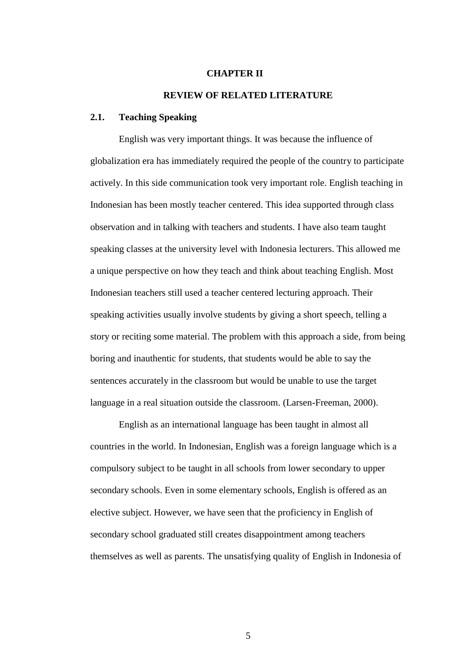### **CHAPTER II**

# **REVIEW OF RELATED LITERATURE**

## **2.1. Teaching Speaking**

English was very important things. It was because the influence of globalization era has immediately required the people of the country to participate actively. In this side communication took very important role. English teaching in Indonesian has been mostly teacher centered. This idea supported through class observation and in talking with teachers and students. I have also team taught speaking classes at the university level with Indonesia lecturers. This allowed me a unique perspective on how they teach and think about teaching English. Most Indonesian teachers still used a teacher centered lecturing approach. Their speaking activities usually involve students by giving a short speech, telling a story or reciting some material. The problem with this approach a side, from being boring and inauthentic for students, that students would be able to say the sentences accurately in the classroom but would be unable to use the target language in a real situation outside the classroom. (Larsen-Freeman, 2000).

English as an international language has been taught in almost all countries in the world. In Indonesian, English was a foreign language which is a compulsory subject to be taught in all schools from lower secondary to upper secondary schools. Even in some elementary schools, English is offered as an elective subject. However, we have seen that the proficiency in English of secondary school graduated still creates disappointment among teachers themselves as well as parents. The unsatisfying quality of English in Indonesia of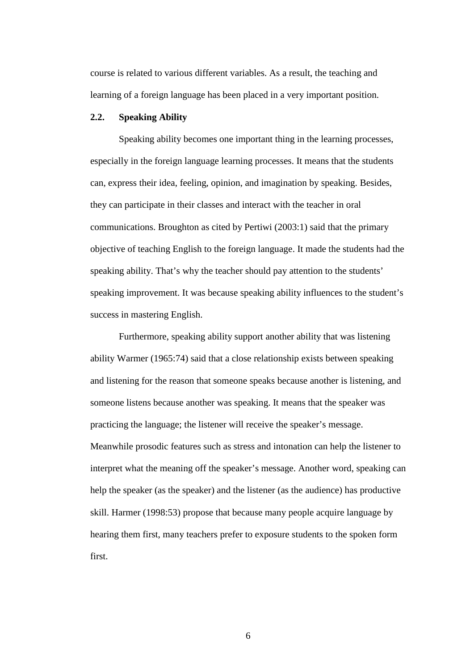course is related to various different variables. As a result, the teaching and learning of a foreign language has been placed in a very important position.

# **2.2. Speaking Ability**

Speaking ability becomes one important thing in the learning processes, especially in the foreign language learning processes. It means that the students can, express their idea, feeling, opinion, and imagination by speaking. Besides, they can participate in their classes and interact with the teacher in oral communications. Broughton as cited by Pertiwi (2003:1) said that the primary objective of teaching English to the foreign language. It made the students had the speaking ability. That's why the teacher should pay attention to the students' speaking improvement. It was because speaking ability influences to the student's success in mastering English.

Furthermore, speaking ability support another ability that was listening ability Warmer (1965:74) said that a close relationship exists between speaking and listening for the reason that someone speaks because another is listening, and someone listens because another was speaking. It means that the speaker was practicing the language; the listener will receive the speaker's message. Meanwhile prosodic features such as stress and intonation can help the listener to interpret what the meaning off the speaker's message. Another word, speaking can help the speaker (as the speaker) and the listener (as the audience) has productive skill. Harmer (1998:53) propose that because many people acquire language by hearing them first, many teachers prefer to exposure students to the spoken form first.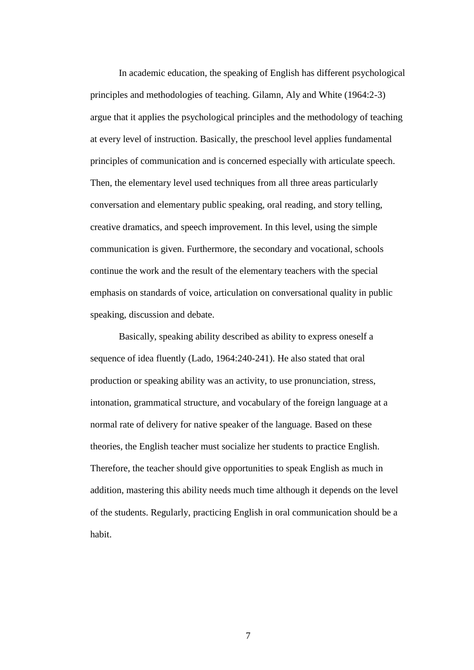In academic education, the speaking of English has different psychological principles and methodologies of teaching. Gilamn, Aly and White (1964:2-3) argue that it applies the psychological principles and the methodology of teaching at every level of instruction. Basically, the preschool level applies fundamental principles of communication and is concerned especially with articulate speech. Then, the elementary level used techniques from all three areas particularly conversation and elementary public speaking, oral reading, and story telling, creative dramatics, and speech improvement. In this level, using the simple communication is given. Furthermore, the secondary and vocational, schools continue the work and the result of the elementary teachers with the special emphasis on standards of voice, articulation on conversational quality in public speaking, discussion and debate.

Basically, speaking ability described as ability to express oneself a sequence of idea fluently (Lado, 1964:240-241). He also stated that oral production or speaking ability was an activity, to use pronunciation, stress, intonation, grammatical structure, and vocabulary of the foreign language at a normal rate of delivery for native speaker of the language. Based on these theories, the English teacher must socialize her students to practice English. Therefore, the teacher should give opportunities to speak English as much in addition, mastering this ability needs much time although it depends on the level of the students. Regularly, practicing English in oral communication should be a habit.